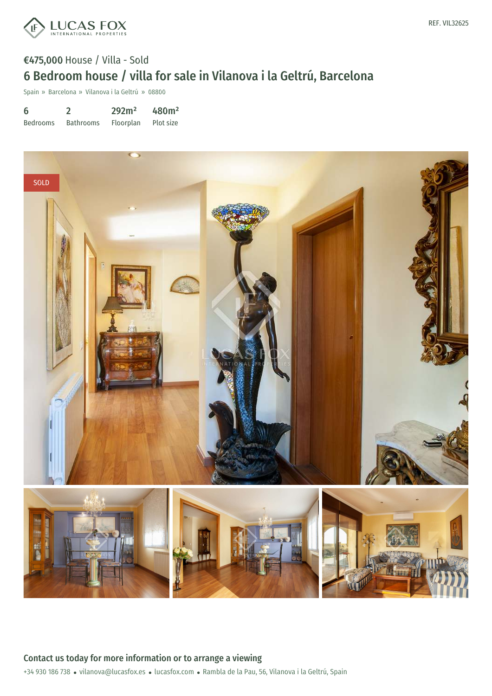

## €475,000 House / Villa - Sold 6 Bedroom house / villa for sale in Vilanova i la Geltrú, Barcelona

Spain » Barcelona » Vilanova i la Geltrú » 08800

| 6               |                  | 292m <sup>2</sup> | 480m <sup>2</sup> |
|-----------------|------------------|-------------------|-------------------|
| <b>Bedrooms</b> | <b>Bathrooms</b> | Floorplan         | Plot size         |



+34 930 186 738 · vilanova@lucasfox.es · lucasfox.com · Rambla de la Pau, 56, Vilanova i la Geltrú, Spain Contact us today for more information or to arrange a viewing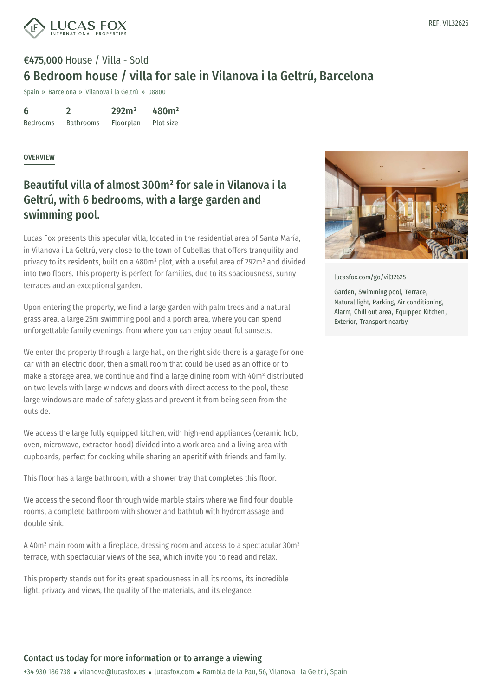

# €475,000 House / Villa - Sold 6 Bedroom house / villa for sale in Vilanova i la Geltrú, Barcelona

Spain » Barcelona » Vilanova i la Geltrú » 08800

6 Bedrooms 2 Bathrooms 292m² Floorplan 480m² Plot size

#### OVERVIEW

## Beautiful villa of almost 300m² for sale in Vilanova i la Geltrú, with 6 bedrooms, with a large garden and swimming pool.

Lucas Fox presents this specular villa, located in the residential area of Santa María, in Vilanova i La Geltrú, very close to the town of Cubellas that offers tranquility and privacy to its residents, built on a 480m² plot, with a useful area of 292m² and divided into two floors. This property is perfect for families, due to its spaciousness, sunny terraces and an exceptional garden.

Upon entering the property, we find a large garden with palm trees and a natural grass area, a large 25m swimming pool and a porch area, where you can spend unforgettable family evenings, from where you can enjoy beautiful sunsets.

We enter the property through a large hall, on the right side there is a garage for one car with an electric door, then a small room that could be used as an office or to make a storage area, we continue and find a large dining room with 40m² distributed on two levels with large windows and doors with direct access to the pool, these large windows are made of safety glass and prevent it from being seen from the outside.

We access the large fully equipped kitchen, with high-end appliances (ceramic hob, oven, microwave, extractor hood) divided into a work area and a living area with cupboards, perfect for cooking while sharing an aperitif with friends and family.

This floor has a large bathroom, with a shower tray that completes this floor.

We access the second floor through wide marble stairs where we find four double rooms, a complete [bathroom](mailto:vilanova@lucasfox.es) with shower and [batht](https://www.lucasfox.com)ub with hydromassage and double sink.

A 40m² main room with a fireplace, dressing room and access to a spectacular 30m² terrace, with spectacular views of the sea, which invite you to read and relax.

This property stands out for its great spaciousness in all its rooms, its incredible light, privacy and views, the quality of the materials, and its elegance.



[lucasfox.com/go/vil32625](https://www.lucasfox.com/go/vil32625)

Garden, Swimming pool, Terrace, Natural light, Parking, Air conditioning, Alarm, Chill out area, Equipped Kitchen, Exterior, Transport nearby

### Contact us today for more information or to arrange a viewing

+34 930 186 738 · vilanova@lucasfox.es · lucasfox.com · Rambla de la Pau, 56, Vilanova i la Geltrú, Spain